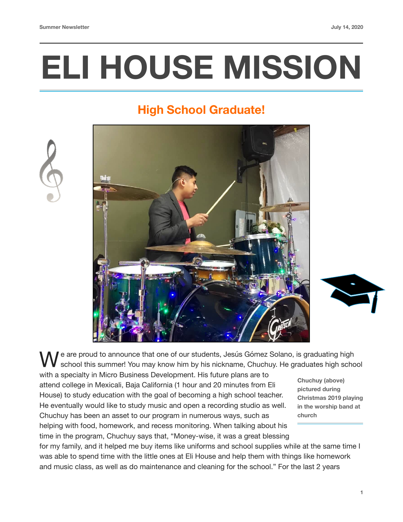# **ELI HOUSE MISSION**

## **High School Graduate!**





e are proud to announce that one of our students, Jesús Gómez Solano, is graduating high school this summer! You may know him by his nickname, Chuchuy. He graduates high school

with a specialty in Micro Business Development. His future plans are to attend college in Mexicali, Baja California (1 hour and 20 minutes from Eli House) to study education with the goal of becoming a high school teacher. He eventually would like to study music and open a recording studio as well. Chuchuy has been an asset to our program in numerous ways, such as helping with food, homework, and recess monitoring. When talking about his time in the program, Chuchuy says that, "Money-wise, it was a great blessing

**Chuchuy (above) pictured during Christmas 2019 playing in the worship band at church**

for my family, and it helped me buy items like uniforms and school supplies while at the same time I was able to spend time with the little ones at Eli House and help them with things like homework and music class, as well as do maintenance and cleaning for the school." For the last 2 years